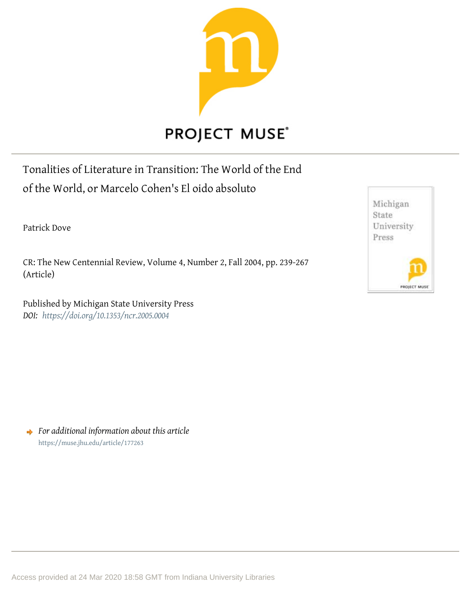

## **PROJECT MUSE®**

Tonalities of Literature in Transition: The World of the End of the World, or Marcelo Cohen's El oido absoluto

Patrick Dove

CR: The New Centennial Review, Volume 4, Number 2, Fall 2004, pp. 239-267 (Article)

Published by Michigan State University Press *DOI: <https://doi.org/10.1353/ncr.2005.0004>*



*For additional information about this article* <https://muse.jhu.edu/article/177263>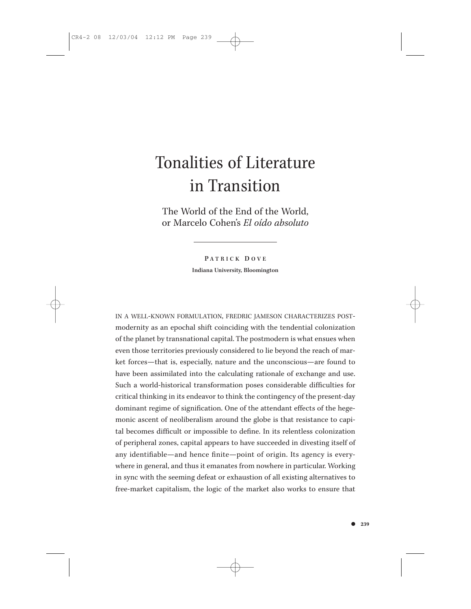The World of the End of the World, or Marcelo Cohen's *El oído absoluto*

> **P ATRICK D OVE Indiana University, Bloomington**

IN A WELL-KNOWN FORMULATION, FREDRIC JAMESON CHARACTERIZES POSTmodernity as an epochal shift coinciding with the tendential colonization of the planet by transnational capital. The postmodern is what ensues when even those territories previously considered to lie beyond the reach of market forces—that is, especially, nature and the unconscious—are found to have been assimilated into the calculating rationale of exchange and use. Such a world-historical transformation poses considerable difficulties for critical thinking in its endeavor to think the contingency of the present-day dominant regime of signification. One of the attendant effects of the hegemonic ascent of neoliberalism around the globe is that resistance to capital becomes difficult or impossible to define. In its relentless colonization of peripheral zones, capital appears to have succeeded in divesting itself of any identifiable—and hence finite—point of origin. Its agency is everywhere in general, and thus it emanates from nowhere in particular. Working in sync with the seeming defeat or exhaustion of all existing alternatives to free-market capitalism, the logic of the market also works to ensure that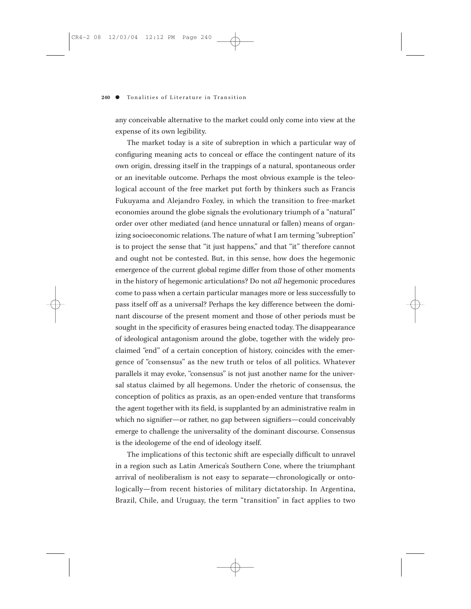any conceivable alternative to the market could only come into view at the expense of its own legibility.

The market today is a site of subreption in which a particular way of configuring meaning acts to conceal or efface the contingent nature of its own origin, dressing itself in the trappings of a natural, spontaneous order or an inevitable outcome. Perhaps the most obvious example is the teleological account of the free market put forth by thinkers such as Francis Fukuyama and Alejandro Foxley, in which the transition to free-market economies around the globe signals the evolutionary triumph of a "natural" order over other mediated (and hence unnatural or fallen) means of organizing socioeconomic relations. The nature of what I am terming "subreption" is to project the sense that "it just happens," and that "it" therefore cannot and ought not be contested. But, in this sense, how does the hegemonic emergence of the current global regime differ from those of other moments in the history of hegemonic articulations? Do not *all* hegemonic procedures come to pass when a certain particular manages more or less successfully to pass itself off as a universal? Perhaps the key difference between the dominant discourse of the present moment and those of other periods must be sought in the specificity of erasures being enacted today. The disappearance of ideological antagonism around the globe, together with the widely proclaimed "end" of a certain conception of history, coincides with the emergence of "consensus" as the new truth or telos of all politics. Whatever parallels it may evoke, "consensus" is not just another name for the universal status claimed by all hegemons. Under the rhetoric of consensus, the conception of politics as praxis, as an open-ended venture that transforms the agent together with its field, is supplanted by an administrative realm in which no signifier—or rather, no gap between signifiers—could conceivably emerge to challenge the universality of the dominant discourse. Consensus is the ideologeme of the end of ideology itself.

The implications of this tectonic shift are especially difficult to unravel in a region such as Latin America's Southern Cone, where the triumphant arrival of neoliberalism is not easy to separate—chronologically or ontologically—from recent histories of military dictatorship. In Argentina, Brazil, Chile, and Uruguay, the term "transition" in fact applies to two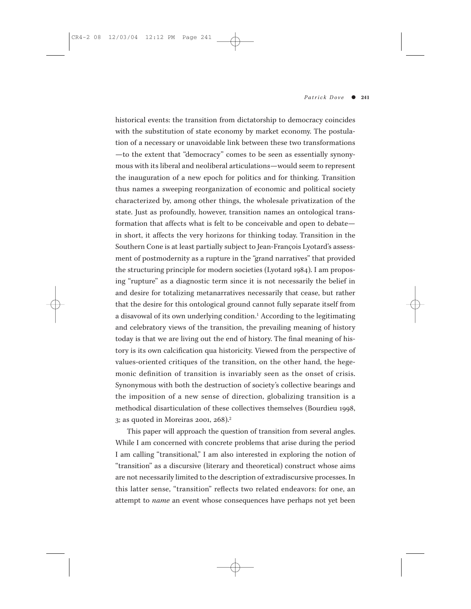historical events: the transition from dictatorship to democracy coincides with the substitution of state economy by market economy. The postulation of a necessary or unavoidable link between these two transformations —to the extent that "democracy" comes to be seen as essentially synonymous with its liberal and neoliberal articulations—would seem to represent the inauguration of a new epoch for politics and for thinking. Transition thus names a sweeping reorganization of economic and political society characterized by, among other things, the wholesale privatization of the state. Just as profoundly, however, transition names an ontological transformation that affects what is felt to be conceivable and open to debate in short, it affects the very horizons for thinking today. Transition in the Southern Cone is at least partially subject to Jean-François Lyotard's assessment of postmodernity as a rupture in the "grand narratives" that provided the structuring principle for modern societies (Lyotard 1984). I am proposing "rupture" as a diagnostic term since it is not necessarily the belief in and desire for totalizing metanarratives necessarily that cease, but rather that the desire for this ontological ground cannot fully separate itself from a disavowal of its own underlying condition.<sup>1</sup> According to the legitimating and celebratory views of the transition, the prevailing meaning of history today is that we are living out the end of history. The final meaning of history is its own calcification qua historicity. Viewed from the perspective of values-oriented critiques of the transition, on the other hand, the hegemonic definition of transition is invariably seen as the onset of crisis. Synonymous with both the destruction of society's collective bearings and the imposition of a new sense of direction, globalizing transition is a methodical disarticulation of these collectives themselves (Bourdieu 1998, 3; as quoted in Moreiras 2001, 268).2

This paper will approach the question of transition from several angles. While I am concerned with concrete problems that arise during the period I am calling "transitional," I am also interested in exploring the notion of "transition" as a discursive (literary and theoretical) construct whose aims are not necessarily limited to the description of extradiscursive processes. In this latter sense, "transition" reflects two related endeavors: for one, an attempt to *name* an event whose consequences have perhaps not yet been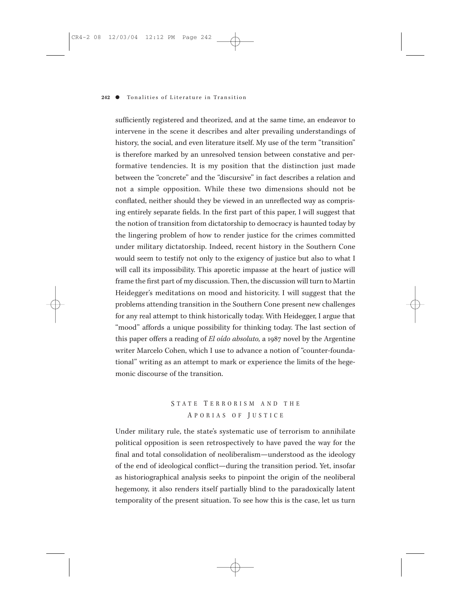sufficiently registered and theorized, and at the same time, an endeavor to intervene in the scene it describes and alter prevailing understandings of history, the social, and even literature itself. My use of the term "transition" is therefore marked by an unresolved tension between constative and performative tendencies. It is my position that the distinction just made between the "concrete" and the "discursive" in fact describes a relation and not a simple opposition. While these two dimensions should not be conflated, neither should they be viewed in an unreflected way as comprising entirely separate fields. In the first part of this paper, I will suggest that the notion of transition from dictatorship to democracy is haunted today by the lingering problem of how to render justice for the crimes committed under military dictatorship. Indeed, recent history in the Southern Cone would seem to testify not only to the exigency of justice but also to what I will call its impossibility. This aporetic impasse at the heart of justice will frame the first part of my discussion. Then, the discussion will turn to Martin Heidegger's meditations on mood and historicity. I will suggest that the problems attending transition in the Southern Cone present new challenges for any real attempt to think historically today. With Heidegger, I argue that "mood" affords a unique possibility for thinking today. The last section of this paper offers a reading of *El oído absoluto,* a 1987 novel by the Argentine writer Marcelo Cohen, which I use to advance a notion of "counter-foundational" writing as an attempt to mark or experience the limits of the hegemonic discourse of the transition.

## S TATE T ERRORISM AND THE A PORIAS OF J USTICE

Under military rule, the state's systematic use of terrorism to annihilate political opposition is seen retrospectively to have paved the way for the final and total consolidation of neoliberalism—understood as the ideology of the end of ideological conflict—during the transition period. Yet, insofar as historiographical analysis seeks to pinpoint the origin of the neoliberal hegemony, it also renders itself partially blind to the paradoxically latent temporality of the present situation. To see how this is the case, let us turn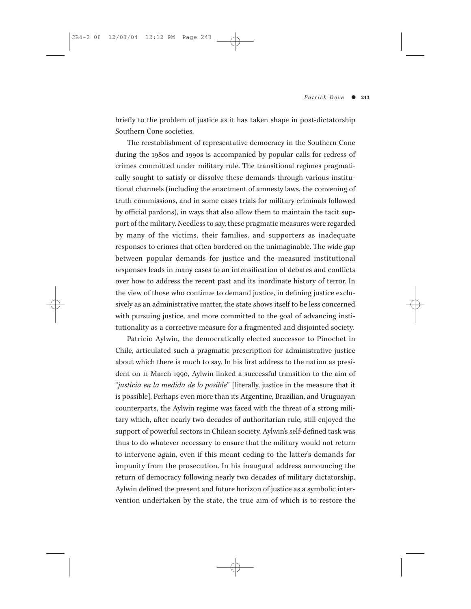briefly to the problem of justice as it has taken shape in post-dictatorship Southern Cone societies.

The reestablishment of representative democracy in the Southern Cone during the 1980s and 1990s is accompanied by popular calls for redress of crimes committed under military rule. The transitional regimes pragmatically sought to satisfy or dissolve these demands through various institutional channels (including the enactment of amnesty laws, the convening of truth commissions, and in some cases trials for military criminals followed by official pardons), in ways that also allow them to maintain the tacit support of the military. Needless to say, these pragmatic measures were regarded by many of the victims, their families, and supporters as inadequate responses to crimes that often bordered on the unimaginable. The wide gap between popular demands for justice and the measured institutional responses leads in many cases to an intensification of debates and conflicts over how to address the recent past and its inordinate history of terror. In the view of those who continue to demand justice, in defining justice exclusively as an administrative matter, the state shows itself to be less concerned with pursuing justice, and more committed to the goal of advancing institutionality as a corrective measure for a fragmented and disjointed society.

Patricio Aylwin, the democratically elected successor to Pinochet in Chile, articulated such a pragmatic prescription for administrative justice about which there is much to say. In his first address to the nation as president on 11 March 1990, Aylwin linked a successful transition to the aim of "*justicia en la medida de lo posible*" [literally, justice in the measure that it is possible]. Perhaps even more than its Argentine, Brazilian, and Uruguayan counterparts, the Aylwin regime was faced with the threat of a strong military which, after nearly two decades of authoritarian rule, still enjoyed the support of powerful sectors in Chilean society. Aylwin's self-defined task was thus to do whatever necessary to ensure that the military would not return to intervene again, even if this meant ceding to the latter's demands for impunity from the prosecution. In his inaugural address announcing the return of democracy following nearly two decades of military dictatorship, Aylwin defined the present and future horizon of justice as a symbolic intervention undertaken by the state, the true aim of which is to restore the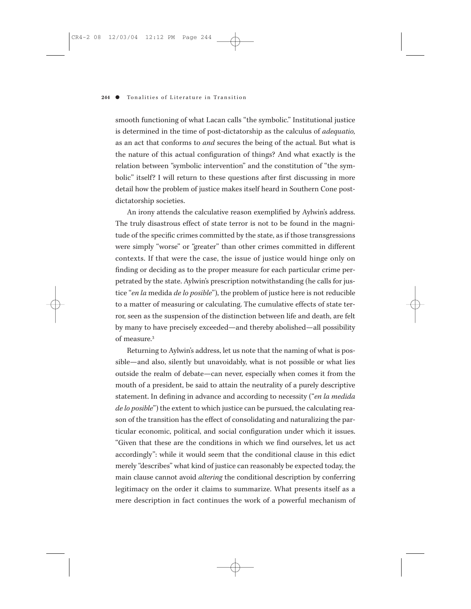smooth functioning of what Lacan calls "the symbolic." Institutional justice is determined in the time of post-dictatorship as the calculus of *adequatio,* as an act that conforms to *and* secures the being of the actual. But what is the nature of this actual configuration of things? And what exactly is the relation between "symbolic intervention" and the constitution of "the symbolic" itself? I will return to these questions after first discussing in more detail how the problem of justice makes itself heard in Southern Cone postdictatorship societies.

An irony attends the calculative reason exemplified by Aylwin's address. The truly disastrous effect of state terror is not to be found in the magnitude of the specific crimes committed by the state, as if those transgressions were simply "worse" or "greater" than other crimes committed in different contexts. If that were the case, the issue of justice would hinge only on finding or deciding as to the proper measure for each particular crime perpetrated by the state. Aylwin's prescription notwithstanding (he calls for justice "*en la* medida *de lo posible*"), the problem of justice here is not reducible to a matter of measuring or calculating. The cumulative effects of state terror, seen as the suspension of the distinction between life and death, are felt by many to have precisely exceeded—and thereby abolished—all possibility of measure.3

Returning to Aylwin's address, let us note that the naming of what is possible—and also, silently but unavoidably, what is not possible or what lies outside the realm of debate—can never, especially when comes it from the mouth of a president, be said to attain the neutrality of a purely descriptive statement. In defining in advance and according to necessity ("*en la medida de lo posible*") the extent to which justice can be pursued, the calculating reason of the transition has the effect of consolidating and naturalizing the particular economic, political, and social configuration under which it issues. "Given that these are the conditions in which we find ourselves, let us act accordingly": while it would seem that the conditional clause in this edict merely "describes" what kind of justice can reasonably be expected today, the main clause cannot avoid *altering* the conditional description by conferring legitimacy on the order it claims to summarize. What presents itself as a mere description in fact continues the work of a powerful mechanism of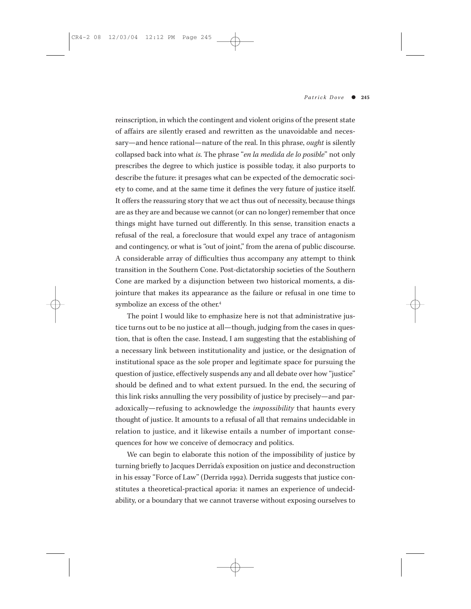reinscription, in which the contingent and violent origins of the present state of affairs are silently erased and rewritten as the unavoidable and necessary—and hence rational—nature of the real. In this phrase, *ought* is silently collapsed back into what *is.* The phrase "*en la medida de lo posible*" not only prescribes the degree to which justice is possible today, it also purports to describe the future: it presages what can be expected of the democratic society to come, and at the same time it defines the very future of justice itself. It offers the reassuring story that we act thus out of necessity, because things are as they are and because we cannot (or can no longer) remember that once things might have turned out differently. In this sense, transition enacts a refusal of the real, a foreclosure that would expel any trace of antagonism and contingency, or what is "out of joint," from the arena of public discourse. A considerable array of difficulties thus accompany any attempt to think transition in the Southern Cone. Post-dictatorship societies of the Southern Cone are marked by a disjunction between two historical moments, a disjointure that makes its appearance as the failure or refusal in one time to symbolize an excess of the other.4

The point I would like to emphasize here is not that administrative justice turns out to be no justice at all—though, judging from the cases in question, that is often the case. Instead, I am suggesting that the establishing of a necessary link between institutionality and justice, or the designation of institutional space as the sole proper and legitimate space for pursuing the question of justice, effectively suspends any and all debate over how "justice" should be defined and to what extent pursued. In the end, the securing of this link risks annulling the very possibility of justice by precisely—and paradoxically—refusing to acknowledge the *impossibility* that haunts every thought of justice. It amounts to a refusal of all that remains undecidable in relation to justice, and it likewise entails a number of important consequences for how we conceive of democracy and politics.

We can begin to elaborate this notion of the impossibility of justice by turning briefly to Jacques Derrida's exposition on justice and deconstruction in his essay "Force of Law" (Derrida 1992). Derrida suggests that justice constitutes a theoretical-practical aporia: it names an experience of undecidability, or a boundary that we cannot traverse without exposing ourselves to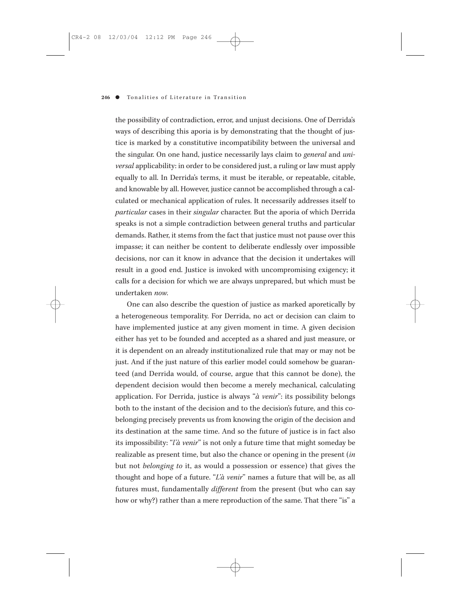the possibility of contradiction, error, and unjust decisions. One of Derrida's ways of describing this aporia is by demonstrating that the thought of justice is marked by a constitutive incompatibility between the universal and the singular. On one hand, justice necessarily lays claim to *general* and *universal* applicability: in order to be considered just, a ruling or law must apply equally to all. In Derrida's terms, it must be iterable, or repeatable, citable, and knowable by all. However, justice cannot be accomplished through a calculated or mechanical application of rules. It necessarily addresses itself to *particular* cases in their *singular* character. But the aporia of which Derrida speaks is not a simple contradiction between general truths and particular demands. Rather, it stems from the fact that justice must not pause over this impasse; it can neither be content to deliberate endlessly over impossible decisions, nor can it know in advance that the decision it undertakes will result in a good end. Justice is invoked with uncompromising exigency; it calls for a decision for which we are always unprepared, but which must be undertaken *now.*

One can also describe the question of justice as marked aporetically by a heterogeneous temporality. For Derrida, no act or decision can claim to have implemented justice at any given moment in time. A given decision either has yet to be founded and accepted as a shared and just measure, or it is dependent on an already institutionalized rule that may or may not be just. And if the just nature of this earlier model could somehow be guaranteed (and Derrida would, of course, argue that this cannot be done), the dependent decision would then become a merely mechanical, calculating application. For Derrida, justice is always "*à venir*": its possibility belongs both to the instant of the decision and to the decision's future, and this cobelonging precisely prevents us from knowing the origin of the decision and its destination at the same time. And so the future of justice is in fact also its impossibility: "*l'à venir*" is not only a future time that might someday be realizable as present time, but also the chance or opening in the present (*in* but not *belonging to* it, as would a possession or essence) that gives the thought and hope of a future. "*L'à venir*" names a future that will be, as all futures must, fundamentally *different* from the present (but who can say how or why?) rather than a mere reproduction of the same. That there "is" a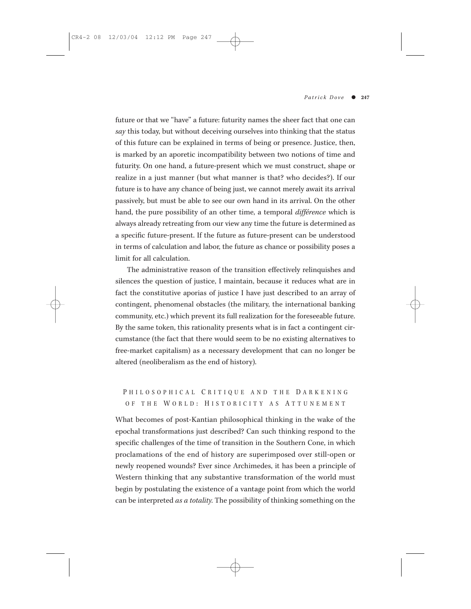future or that we "have" a future: futurity names the sheer fact that one can *say* this today, but without deceiving ourselves into thinking that the status of this future can be explained in terms of being or presence. Justice, then, is marked by an aporetic incompatibility between two notions of time and futurity. On one hand, a future-present which we must construct, shape or realize in a just manner (but what manner is that? who decides?). If our future is to have any chance of being just, we cannot merely await its arrival passively, but must be able to see our own hand in its arrival. On the other hand, the pure possibility of an other time, a temporal *différence* which is always already retreating from our view any time the future is determined as a specific future-present. If the future as future-present can be understood in terms of calculation and labor, the future as chance or possibility poses a limit for all calculation.

The administrative reason of the transition effectively relinquishes and silences the question of justice, I maintain, because it reduces what are in fact the constitutive aporias of justice I have just described to an array of contingent, phenomenal obstacles (the military, the international banking community, etc.) which prevent its full realization for the foreseeable future. By the same token, this rationality presents what is in fact a contingent circumstance (the fact that there would seem to be no existing alternatives to free-market capitalism) as a necessary development that can no longer be altered (neoliberalism as the end of history).

## P HILOSOPHICAL C RITIQUE AND THE D ARKENING OF THE WORLD: HISTORICITY AS ATTUNEMENT

What becomes of post-Kantian philosophical thinking in the wake of the epochal transformations just described? Can such thinking respond to the specific challenges of the time of transition in the Southern Cone, in which proclamations of the end of history are superimposed over still-open or newly reopened wounds? Ever since Archimedes, it has been a principle of Western thinking that any substantive transformation of the world must begin by postulating the existence of a vantage point from which the world can be interpreted *as a totality.* The possibility of thinking something on the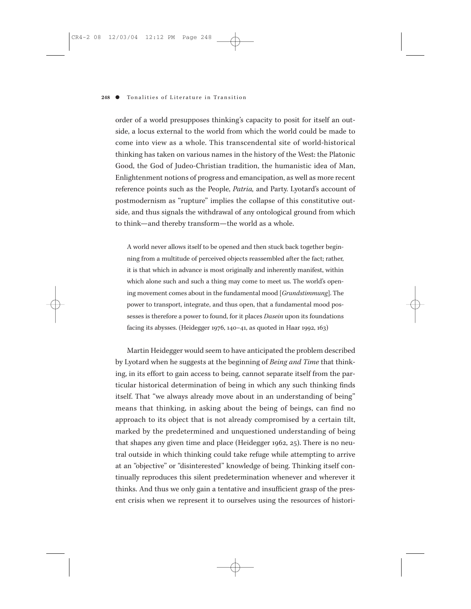order of a world presupposes thinking's capacity to posit for itself an outside, a locus external to the world from which the world could be made to come into view as a whole. This transcendental site of world-historical thinking has taken on various names in the history of the West: the Platonic Good, the God of Judeo-Christian tradition, the humanistic idea of Man, Enlightenment notions of progress and emancipation, as well as more recent reference points such as the People, *Patria,* and Party. Lyotard's account of postmodernism as "rupture" implies the collapse of this constitutive outside, and thus signals the withdrawal of any ontological ground from which to think—and thereby transform—the world as a whole.

A world never allows itself to be opened and then stuck back together beginning from a multitude of perceived objects reassembled after the fact; rather, it is that which in advance is most originally and inherently manifest, within which alone such and such a thing may come to meet us. The world's opening movement comes about in the fundamental mood [*Grundstimmung*]. The power to transport, integrate, and thus open, that a fundamental mood possesses is therefore a power to found, for it places *Dasein* upon its foundations facing its abysses. (Heidegger 1976, 140–41, as quoted in Haar 1992, 163)

Martin Heidegger would seem to have anticipated the problem described by Lyotard when he suggests at the beginning of *Being and Time* that thinking, in its effort to gain access to being, cannot separate itself from the particular historical determination of being in which any such thinking finds itself. That "we always already move about in an understanding of being" means that thinking, in asking about the being of beings, can find no approach to its object that is not already compromised by a certain tilt, marked by the predetermined and unquestioned understanding of being that shapes any given time and place (Heidegger 1962, 25). There is no neutral outside in which thinking could take refuge while attempting to arrive at an "objective" or "disinterested" knowledge of being. Thinking itself continually reproduces this silent predetermination whenever and wherever it thinks. And thus we only gain a tentative and insufficient grasp of the present crisis when we represent it to ourselves using the resources of histori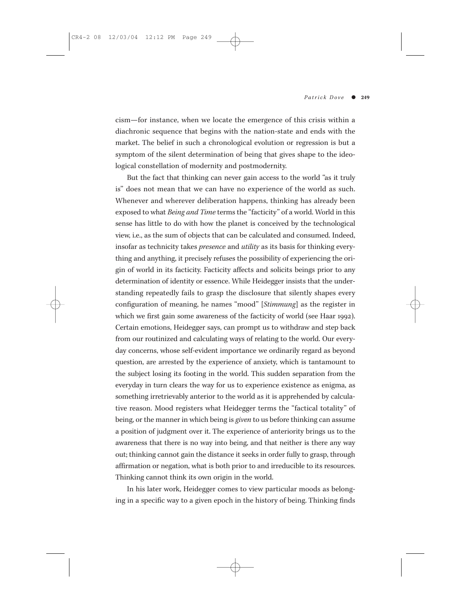cism—for instance, when we locate the emergence of this crisis within a diachronic sequence that begins with the nation-state and ends with the market. The belief in such a chronological evolution or regression is but a symptom of the silent determination of being that gives shape to the ideological constellation of modernity and postmodernity.

But the fact that thinking can never gain access to the world "as it truly is" does not mean that we can have no experience of the world as such. Whenever and wherever deliberation happens, thinking has already been exposed to what *Being and Time* terms the "facticity" of a world. World in this sense has little to do with how the planet is conceived by the technological view, i.e., as the sum of objects that can be calculated and consumed. Indeed, insofar as technicity takes *presence* and *utility* as its basis for thinking everything and anything, it precisely refuses the possibility of experiencing the origin of world in its facticity. Facticity affects and solicits beings prior to any determination of identity or essence. While Heidegger insists that the understanding repeatedly fails to grasp the disclosure that silently shapes every configuration of meaning, he names "mood" [*Stimmung*] as the register in which we first gain some awareness of the facticity of world (see Haar 1992). Certain emotions, Heidegger says, can prompt us to withdraw and step back from our routinized and calculating ways of relating to the world. Our everyday concerns, whose self-evident importance we ordinarily regard as beyond question, are arrested by the experience of anxiety, which is tantamount to the subject losing its footing in the world. This sudden separation from the everyday in turn clears the way for us to experience existence as enigma, as something irretrievably anterior to the world as it is apprehended by calculative reason. Mood registers what Heidegger terms the "factical totality" of being, or the manner in which being is *given* to us before thinking can assume a position of judgment over it. The experience of anteriority brings us to the awareness that there is no way into being, and that neither is there any way out; thinking cannot gain the distance it seeks in order fully to grasp, through affirmation or negation, what is both prior to and irreducible to its resources. Thinking cannot think its own origin in the world.

In his later work, Heidegger comes to view particular moods as belonging in a specific way to a given epoch in the history of being. Thinking finds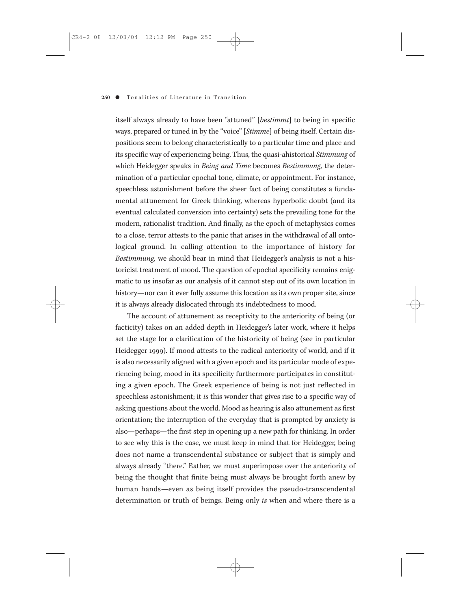itself always already to have been "attuned" [*bestimmt*] to being in specific ways, prepared or tuned in by the "voice" [*Stimme*] of being itself. Certain dispositions seem to belong characteristically to a particular time and place and its specific way of experiencing being. Thus, the quasi-ahistorical *Stimmung* of which Heidegger speaks in *Being and Time* becomes *Bestimmung,* the determination of a particular epochal tone, climate, or appointment. For instance, speechless astonishment before the sheer fact of being constitutes a fundamental attunement for Greek thinking, whereas hyperbolic doubt (and its eventual calculated conversion into certainty) sets the prevailing tone for the modern, rationalist tradition. And finally, as the epoch of metaphysics comes to a close, terror attests to the panic that arises in the withdrawal of all ontological ground. In calling attention to the importance of history for *Bestimmung,* we should bear in mind that Heidegger's analysis is not a historicist treatment of mood. The question of epochal specificity remains enigmatic to us insofar as our analysis of it cannot step out of its own location in history—nor can it ever fully assume this location as its own proper site, since it is always already dislocated through its indebtedness to mood.

The account of attunement as receptivity to the anteriority of being (or facticity) takes on an added depth in Heidegger's later work, where it helps set the stage for a clarification of the historicity of being (see in particular Heidegger 1999). If mood attests to the radical anteriority of world, and if it is also necessarily aligned with a given epoch and its particular mode of experiencing being, mood in its specificity furthermore participates in constituting a given epoch. The Greek experience of being is not just reflected in speechless astonishment; it *is* this wonder that gives rise to a specific way of asking questions about the world. Mood as hearing is also attunement as first orientation; the interruption of the everyday that is prompted by anxiety is also—perhaps—the first step in opening up a new path for thinking. In order to see why this is the case, we must keep in mind that for Heidegger, being does not name a transcendental substance or subject that is simply and always already "there." Rather, we must superimpose over the anteriority of being the thought that finite being must always be brought forth anew by human hands—even as being itself provides the pseudo-transcendental determination or truth of beings. Being only *is* when and where there is a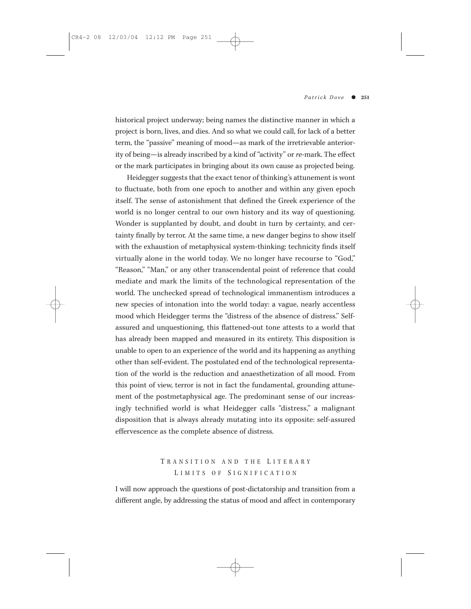historical project underway; being names the distinctive manner in which a project is born, lives, and dies. And so what we could call, for lack of a better term, the "passive" meaning of mood—as mark of the irretrievable anteriority of being—is already inscribed by a kind of "activity" or *re*-mark. The effect or the mark participates in bringing about its own cause as projected being.

Heidegger suggests that the exact tenor of thinking's attunement is wont to fluctuate, both from one epoch to another and within any given epoch itself. The sense of astonishment that defined the Greek experience of the world is no longer central to our own history and its way of questioning. Wonder is supplanted by doubt, and doubt in turn by certainty, and certainty finally by terror. At the same time, a new danger begins to show itself with the exhaustion of metaphysical system-thinking: technicity finds itself virtually alone in the world today. We no longer have recourse to "God," "Reason," "Man," or any other transcendental point of reference that could mediate and mark the limits of the technological representation of the world. The unchecked spread of technological immanentism introduces a new species of intonation into the world today: a vague, nearly accentless mood which Heidegger terms the "distress of the absence of distress." Selfassured and unquestioning, this flattened-out tone attests to a world that has already been mapped and measured in its entirety. This disposition is unable to open to an experience of the world and its happening as anything other than self-evident. The postulated end of the technological representation of the world is the reduction and anaesthetization of all mood. From this point of view, terror is not in fact the fundamental, grounding attunement of the postmetaphysical age. The predominant sense of our increasingly technified world is what Heidegger calls "distress," a malignant disposition that is always already mutating into its opposite: self-assured effervescence as the complete absence of distress.

## T RANSITION AND THE L ITERARY L IMITS OF S IGNIFICATION

I will now approach the questions of post-dictatorship and transition from a different angle, by addressing the status of mood and affect in contemporary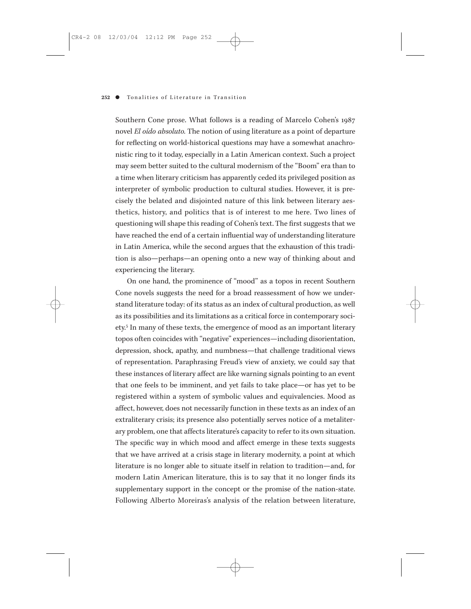Southern Cone prose. What follows is a reading of Marcelo Cohen's 1987 novel *El oído absoluto.* The notion of using literature as a point of departure for reflecting on world-historical questions may have a somewhat anachronistic ring to it today, especially in a Latin American context. Such a project may seem better suited to the cultural modernism of the "Boom" era than to a time when literary criticism has apparently ceded its privileged position as interpreter of symbolic production to cultural studies. However, it is precisely the belated and disjointed nature of this link between literary aesthetics, history, and politics that is of interest to me here. Two lines of questioning will shape this reading of Cohen's text. The first suggests that we have reached the end of a certain influential way of understanding literature in Latin America, while the second argues that the exhaustion of this tradition is also—perhaps—an opening onto a new way of thinking about and experiencing the literary.

On one hand, the prominence of "mood" as a topos in recent Southern Cone novels suggests the need for a broad reassessment of how we understand literature today: of its status as an index of cultural production, as well as its possibilities and its limitations as a critical force in contemporary society.5 In many of these texts, the emergence of mood as an important literary topos often coincides with "negative" experiences—including disorientation, depression, shock, apathy, and numbness—that challenge traditional views of representation. Paraphrasing Freud's view of anxiety, we could say that these instances of literary affect are like warning signals pointing to an event that one feels to be imminent, and yet fails to take place—or has yet to be registered within a system of symbolic values and equivalencies. Mood as affect, however, does not necessarily function in these texts as an index of an extraliterary crisis; its presence also potentially serves notice of a metaliterary problem, one that affects literature's capacity to refer to its own situation. The specific way in which mood and affect emerge in these texts suggests that we have arrived at a crisis stage in literary modernity, a point at which literature is no longer able to situate itself in relation to tradition—and, for modern Latin American literature, this is to say that it no longer finds its supplementary support in the concept or the promise of the nation-state. Following Alberto Moreiras's analysis of the relation between literature,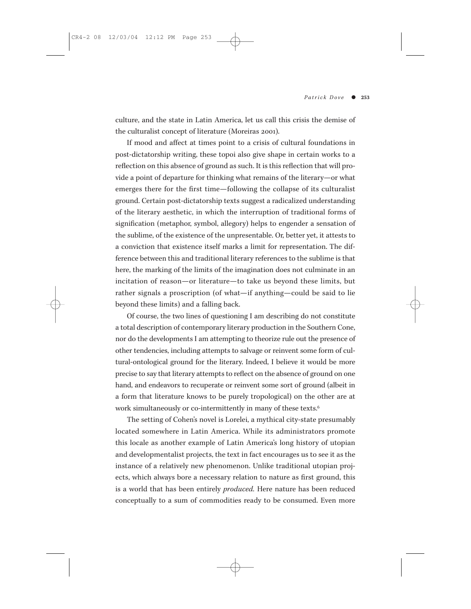culture, and the state in Latin America, let us call this crisis the demise of the culturalist concept of literature (Moreiras 2001).

If mood and affect at times point to a crisis of cultural foundations in post-dictatorship writing, these topoi also give shape in certain works to a reflection on this absence of ground as such. It is this reflection that will provide a point of departure for thinking what remains of the literary—or what emerges there for the first time—following the collapse of its culturalist ground. Certain post-dictatorship texts suggest a radicalized understanding of the literary aesthetic, in which the interruption of traditional forms of signification (metaphor, symbol, allegory) helps to engender a sensation of the sublime, of the existence of the unpresentable. Or, better yet, it attests to a conviction that existence itself marks a limit for representation. The difference between this and traditional literary references to the sublime is that here, the marking of the limits of the imagination does not culminate in an incitation of reason—or literature—to take us beyond these limits, but rather signals a proscription (of what—if anything—could be said to lie beyond these limits) and a falling back.

Of course, the two lines of questioning I am describing do not constitute a total description of contemporary literary production in the Southern Cone, nor do the developments I am attempting to theorize rule out the presence of other tendencies, including attempts to salvage or reinvent some form of cultural-ontological ground for the literary. Indeed, I believe it would be more precise to say that literary attempts to reflect on the absence of ground on one hand, and endeavors to recuperate or reinvent some sort of ground (albeit in a form that literature knows to be purely tropological) on the other are at work simultaneously or co-intermittently in many of these texts.6

The setting of Cohen's novel is Lorelei, a mythical city-state presumably located somewhere in Latin America. While its administrators promote this locale as another example of Latin America's long history of utopian and developmentalist projects, the text in fact encourages us to see it as the instance of a relatively new phenomenon. Unlike traditional utopian projects, which always bore a necessary relation to nature as first ground, this is a world that has been entirely *produced.* Here nature has been reduced conceptually to a sum of commodities ready to be consumed. Even more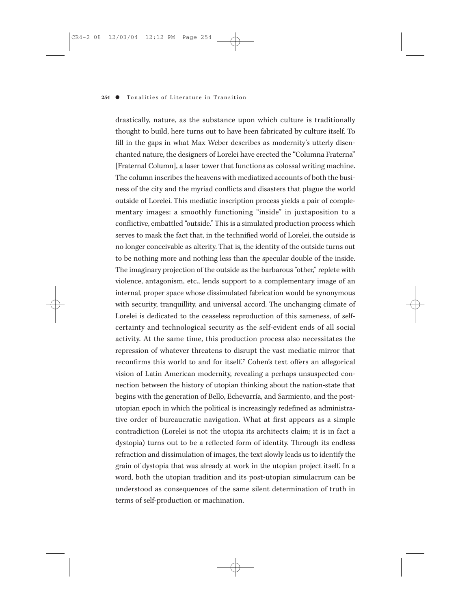drastically, nature, as the substance upon which culture is traditionally thought to build, here turns out to have been fabricated by culture itself. To fill in the gaps in what Max Weber describes as modernity's utterly disenchanted nature, the designers of Lorelei have erected the "Columna Fraterna" [Fraternal Column], a laser tower that functions as colossal writing machine. The column inscribes the heavens with mediatized accounts of both the business of the city and the myriad conflicts and disasters that plague the world outside of Lorelei. This mediatic inscription process yields a pair of complementary images: a smoothly functioning "inside" in juxtaposition to a conflictive, embattled "outside." This is a simulated production process which serves to mask the fact that, in the technified world of Lorelei, the outside is no longer conceivable as alterity. That is, the identity of the outside turns out to be nothing more and nothing less than the specular double of the inside. The imaginary projection of the outside as the barbarous "other," replete with violence, antagonism, etc., lends support to a complementary image of an internal, proper space whose dissimulated fabrication would be synonymous with security, tranquillity, and universal accord. The unchanging climate of Lorelei is dedicated to the ceaseless reproduction of this sameness, of selfcertainty and technological security as the self-evident ends of all social activity. At the same time, this production process also necessitates the repression of whatever threatens to disrupt the vast mediatic mirror that reconfirms this world to and for itself.7 Cohen's text offers an allegorical vision of Latin American modernity, revealing a perhaps unsuspected connection between the history of utopian thinking about the nation-state that begins with the generation of Bello, Echevarría, and Sarmiento, and the postutopian epoch in which the political is increasingly redefined as administrative order of bureaucratic navigation. What at first appears as a simple contradiction (Lorelei is not the utopia its architects claim; it is in fact a dystopia) turns out to be a reflected form of identity. Through its endless refraction and dissimulation of images, the text slowly leads us to identify the grain of dystopia that was already at work in the utopian project itself. In a word, both the utopian tradition and its post-utopian simulacrum can be understood as consequences of the same silent determination of truth in terms of self-production or machination.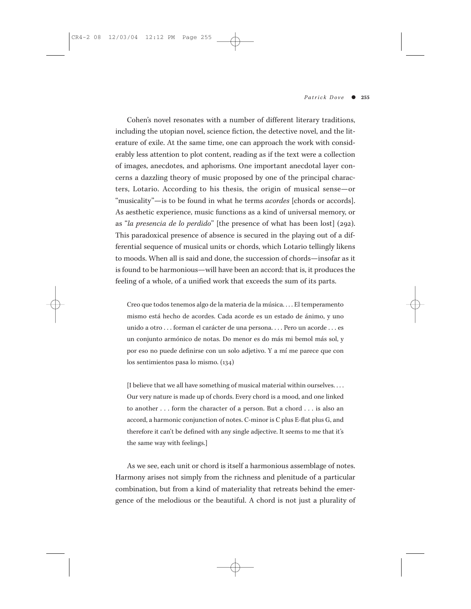Cohen's novel resonates with a number of different literary traditions, including the utopian novel, science fiction, the detective novel, and the literature of exile. At the same time, one can approach the work with considerably less attention to plot content, reading as if the text were a collection of images, anecdotes, and aphorisms. One important anecdotal layer concerns a dazzling theory of music proposed by one of the principal characters, Lotario. According to his thesis, the origin of musical sense—or "musicality"—is to be found in what he terms *acordes* [chords or accords]. As aesthetic experience, music functions as a kind of universal memory, or as "*la presencia de lo perdido*" [the presence of what has been lost] (292). This paradoxical presence of absence is secured in the playing out of a differential sequence of musical units or chords, which Lotario tellingly likens to moods. When all is said and done, the succession of chords—insofar as it is found to be harmonious—will have been an accord: that is, it produces the feeling of a whole, of a unified work that exceeds the sum of its parts.

Creo que todos tenemos algo de la materia de la música. . . . El temperamento mismo está hecho de acordes. Cada acorde es un estado de ánimo, y uno unido a otro . . . forman el carácter de una persona. . . . Pero un acorde . . . es un conjunto armónico de notas. Do menor es do más mi bemol más sol, y por eso no puede definirse con un solo adjetivo. Y a mí me parece que con los sentimientos pasa lo mismo. (134)

[I believe that we all have something of musical material within ourselves. . . . Our very nature is made up of chords. Every chord is a mood, and one linked to another . . . form the character of a person. But a chord . . . is also an accord, a harmonic conjunction of notes. C-minor is C plus E-flat plus G, and therefore it can't be defined with any single adjective. It seems to me that it's the same way with feelings.]

As we see, each unit or chord is itself a harmonious assemblage of notes. Harmony arises not simply from the richness and plenitude of a particular combination, but from a kind of materiality that retreats behind the emergence of the melodious or the beautiful. A chord is not just a plurality of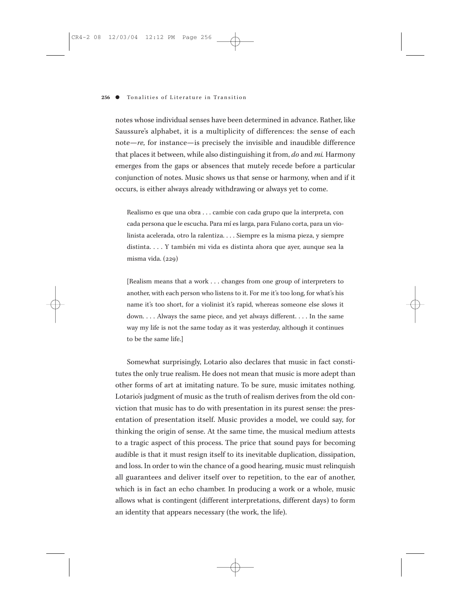notes whose individual senses have been determined in advance. Rather, like Saussure's alphabet, it is a multiplicity of differences: the sense of each note—*re,* for instance—is precisely the invisible and inaudible difference that places it between, while also distinguishing it from, *do* and *mi.* Harmony emerges from the gaps or absences that mutely recede before a particular conjunction of notes. Music shows us that sense or harmony, when and if it occurs, is either always already withdrawing or always yet to come.

Realismo es que una obra . . . cambie con cada grupo que la interpreta, con cada persona que le escucha. Para mí es larga, para Fulano corta, para un violinista acelerada, otro la ralentiza. . . . Siempre es la misma pieza, y siempre distinta. . . . Y también mi vida es distinta ahora que ayer, aunque sea la misma vida. (229)

[Realism means that a work . . . changes from one group of interpreters to another, with each person who listens to it. For me it's too long, for what's his name it's too short, for a violinist it's rapid, whereas someone else slows it down. . . . Always the same piece, and yet always different. . . . In the same way my life is not the same today as it was yesterday, although it continues to be the same life.]

Somewhat surprisingly, Lotario also declares that music in fact constitutes the only true realism. He does not mean that music is more adept than other forms of art at imitating nature. To be sure, music imitates nothing. Lotario's judgment of music as the truth of realism derives from the old conviction that music has to do with presentation in its purest sense: the presentation of presentation itself. Music provides a model, we could say, for thinking the origin of sense. At the same time, the musical medium attests to a tragic aspect of this process. The price that sound pays for becoming audible is that it must resign itself to its inevitable duplication, dissipation, and loss. In order to win the chance of a good hearing, music must relinquish all guarantees and deliver itself over to repetition, to the ear of another, which is in fact an echo chamber. In producing a work or a whole, music allows what is contingent (different interpretations, different days) to form an identity that appears necessary (the work, the life).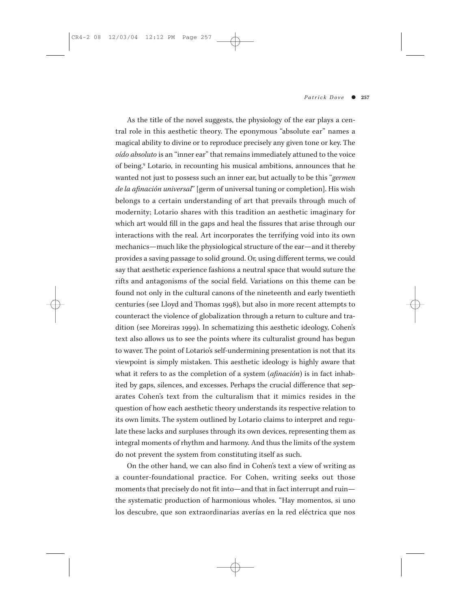As the title of the novel suggests, the physiology of the ear plays a central role in this aesthetic theory. The eponymous "absolute ear" names a magical ability to divine or to reproduce precisely any given tone or key. The *oído absoluto* is an "inner ear" that remains immediately attuned to the voice of being.9 Lotario, in recounting his musical ambitions, announces that he wanted not just to possess such an inner ear, but actually to be this "*germen de la afinación universal*" [germ of universal tuning or completion]. His wish belongs to a certain understanding of art that prevails through much of modernity; Lotario shares with this tradition an aesthetic imaginary for which art would fill in the gaps and heal the fissures that arise through our interactions with the real. Art incorporates the terrifying void into its own mechanics—much like the physiological structure of the ear—and it thereby provides a saving passage to solid ground. Or, using different terms, we could say that aesthetic experience fashions a neutral space that would suture the rifts and antagonisms of the social field. Variations on this theme can be found not only in the cultural canons of the nineteenth and early twentieth centuries (see Lloyd and Thomas 1998), but also in more recent attempts to counteract the violence of globalization through a return to culture and tradition (see Moreiras 1999). In schematizing this aesthetic ideology, Cohen's text also allows us to see the points where its culturalist ground has begun to waver. The point of Lotario's self-undermining presentation is not that its viewpoint is simply mistaken. This aesthetic ideology is highly aware that what it refers to as the completion of a system (*afinación*) is in fact inhabited by gaps, silences, and excesses. Perhaps the crucial difference that separates Cohen's text from the culturalism that it mimics resides in the question of how each aesthetic theory understands its respective relation to its own limits. The system outlined by Lotario claims to interpret and regulate these lacks and surpluses through its own devices, representing them as integral moments of rhythm and harmony. And thus the limits of the system do not prevent the system from constituting itself as such.

On the other hand, we can also find in Cohen's text a view of writing as a counter-foundational practice. For Cohen, writing seeks out those moments that precisely do not fit into—and that in fact interrupt and ruin the systematic production of harmonious wholes. "Hay momentos, si uno los descubre, que son extraordinarias averías en la red eléctrica que nos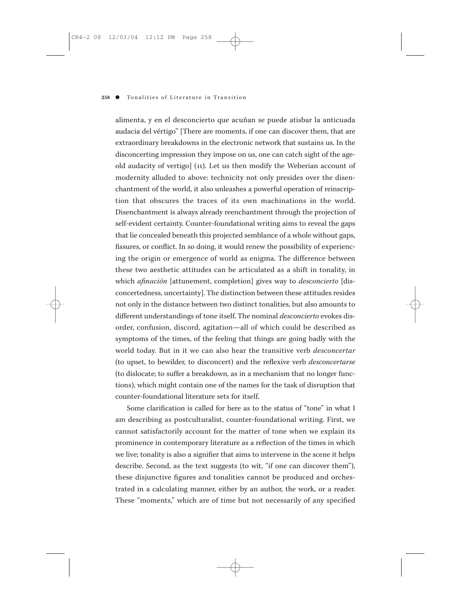alimenta, y en el desconcierto que acuñan se puede atisbar la anticuada audacia del vértigo" [There are moments, if one can discover them, that are extraordinary breakdowns in the electronic network that sustains us. In the disconcerting impression they impose on us, one can catch sight of the ageold audacity of vertigo] (11). Let us then modify the Weberian account of modernity alluded to above: technicity not only presides over the disenchantment of the world, it also unleashes a powerful operation of reinscription that obscures the traces of its own machinations in the world. Disenchantment is always already reenchantment through the projection of self-evident certainty. Counter-foundational writing aims to reveal the gaps that lie concealed beneath this projected semblance of a whole without gaps, fissures, or conflict. In so doing, it would renew the possibility of experiencing the origin or emergence of world as enigma. The difference between these two aesthetic attitudes can be articulated as a shift in tonality, in which *afinación* [attunement, completion] gives way to *desconcierto* [disconcertedness, uncertainty]. The distinction between these attitudes resides not only in the distance between two distinct tonalities, but also amounts to different understandings of tone itself. The nominal *desconcierto* evokes disorder, confusion, discord, agitation—all of which could be described as symptoms of the times, of the feeling that things are going badly with the world today. But in it we can also hear the transitive verb *desconcertar* (to upset, to bewilder, to disconcert) and the reflexive verb *desconcertarse* (to dislocate; to suffer a breakdown, as in a mechanism that no longer functions), which might contain one of the names for the task of disruption that counter-foundational literature sets for itself.

Some clarification is called for here as to the status of "tone" in what I am describing as postculturalist, counter-foundational writing. First, we cannot satisfactorily account for the matter of tone when we explain its prominence in contemporary literature as a reflection of the times in which we live; tonality is also a signifier that aims to intervene in the scene it helps describe. Second, as the text suggests (to wit, "if one can discover them"), these disjunctive figures and tonalities cannot be produced and orchestrated in a calculating manner, either by an author, the work, or a reader. These "moments," which are of time but not necessarily of any specified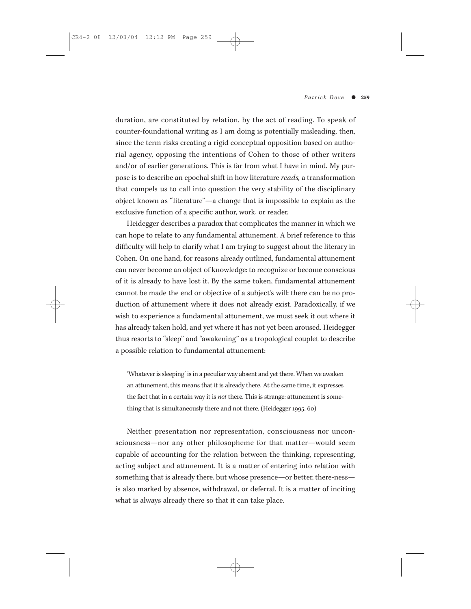duration, are constituted by relation, by the act of reading. To speak of counter-foundational writing as I am doing is potentially misleading, then, since the term risks creating a rigid conceptual opposition based on authorial agency, opposing the intentions of Cohen to those of other writers and/or of earlier generations. This is far from what I have in mind. My purpose is to describe an epochal shift in how literature *reads,* a transformation that compels us to call into question the very stability of the disciplinary object known as "literature"—a change that is impossible to explain as the exclusive function of a specific author, work, or reader.

Heidegger describes a paradox that complicates the manner in which we can hope to relate to any fundamental attunement. A brief reference to this difficulty will help to clarify what I am trying to suggest about the literary in Cohen. On one hand, for reasons already outlined, fundamental attunement can never become an object of knowledge: to recognize or become conscious of it is already to have lost it. By the same token, fundamental attunement cannot be made the end or objective of a subject's will: there can be no production of attunement where it does not already exist. Paradoxically, if we wish to experience a fundamental attunement, we must seek it out where it has already taken hold, and yet where it has not yet been aroused. Heidegger thus resorts to "sleep" and "awakening" as a tropological couplet to describe a possible relation to fundamental attunement:

'Whatever is sleeping' is in a peculiar way absent and yet there. When we awaken an attunement, this means that it is already there. At the same time, it expresses the fact that in a certain way it is *not* there. This is strange: attunement is something that is simultaneously there and not there. (Heidegger 1995, 60)

Neither presentation nor representation, consciousness nor unconsciousness—nor any other philosopheme for that matter—would seem capable of accounting for the relation between the thinking, representing, acting subject and attunement. It is a matter of entering into relation with something that is already there, but whose presence—or better, there-ness is also marked by absence, withdrawal, or deferral. It is a matter of inciting what is always already there so that it can take place.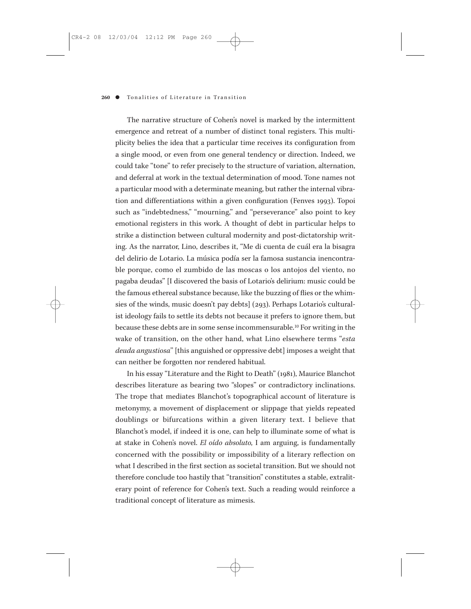The narrative structure of Cohen's novel is marked by the intermittent emergence and retreat of a number of distinct tonal registers. This multiplicity belies the idea that a particular time receives its configuration from a single mood, or even from one general tendency or direction. Indeed, we could take "tone" to refer precisely to the structure of variation, alternation, and deferral at work in the textual determination of mood. Tone names not a particular mood with a determinate meaning, but rather the internal vibration and differentiations within a given configuration (Fenves 1993). Topoi such as "indebtedness," "mourning," and "perseverance" also point to key emotional registers in this work. A thought of debt in particular helps to strike a distinction between cultural modernity and post-dictatorship writing. As the narrator, Lino, describes it, "Me di cuenta de cuál era la bisagra del delirio de Lotario. La música podía ser la famosa sustancia inencontrable porque, como el zumbido de las moscas o los antojos del viento, no pagaba deudas" [I discovered the basis of Lotario's delirium: music could be the famous ethereal substance because, like the buzzing of flies or the whimsies of the winds, music doesn't pay debts] (293). Perhaps Lotario's culturalist ideology fails to settle its debts not because it prefers to ignore them, but because these debts are in some sense incommensurable.10 For writing in the wake of transition, on the other hand, what Lino elsewhere terms "*esta deuda angustiosa*" [this anguished or oppressive debt] imposes a weight that can neither be forgotten nor rendered habitual.

In his essay "Literature and the Right to Death" (1981), Maurice Blanchot describes literature as bearing two "slopes" or contradictory inclinations. The trope that mediates Blanchot's topographical account of literature is metonymy, a movement of displacement or slippage that yields repeated doublings or bifurcations within a given literary text. I believe that Blanchot's model, if indeed it is one, can help to illuminate some of what is at stake in Cohen's novel. *El oído absoluto,* I am arguing, is fundamentally concerned with the possibility or impossibility of a literary reflection on what I described in the first section as societal transition. But we should not therefore conclude too hastily that "transition" constitutes a stable, extraliterary point of reference for Cohen's text. Such a reading would reinforce a traditional concept of literature as mimesis.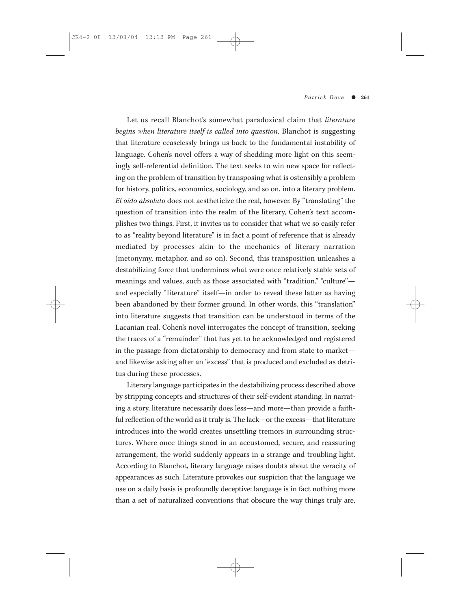Let us recall Blanchot's somewhat paradoxical claim that *literature begins when literature itself is called into question.* Blanchot is suggesting that literature ceaselessly brings us back to the fundamental instability of language. Cohen's novel offers a way of shedding more light on this seemingly self-referential definition. The text seeks to win new space for reflecting on the problem of transition by transposing what is ostensibly a problem for history, politics, economics, sociology, and so on, into a literary problem. *El oído absoluto* does not aestheticize the real, however. By "translating" the question of transition into the realm of the literary, Cohen's text accomplishes two things. First, it invites us to consider that what we so easily refer to as "reality beyond literature" is in fact a point of reference that is already mediated by processes akin to the mechanics of literary narration (metonymy, metaphor, and so on). Second, this transposition unleashes a destabilizing force that undermines what were once relatively stable sets of meanings and values, such as those associated with "tradition," "culture" and especially "literature" itself—in order to reveal these latter as having been abandoned by their former ground. In other words, this "translation" into literature suggests that transition can be understood in terms of the Lacanian real. Cohen's novel interrogates the concept of transition, seeking the traces of a "remainder" that has yet to be acknowledged and registered in the passage from dictatorship to democracy and from state to market and likewise asking after an "excess" that is produced and excluded as detritus during these processes.

Literary language participates in the destabilizing process described above by stripping concepts and structures of their self-evident standing. In narrating a story, literature necessarily does less—and more—than provide a faithful reflection of the world as it truly is. The lack—or the excess—that literature introduces into the world creates unsettling tremors in surrounding structures. Where once things stood in an accustomed, secure, and reassuring arrangement, the world suddenly appears in a strange and troubling light. According to Blanchot, literary language raises doubts about the veracity of appearances as such. Literature provokes our suspicion that the language we use on a daily basis is profoundly deceptive: language is in fact nothing more than a set of naturalized conventions that obscure the way things truly are,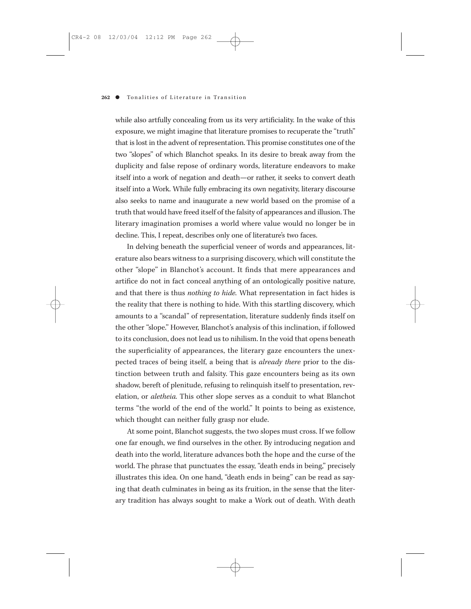while also artfully concealing from us its very artificiality. In the wake of this exposure, we might imagine that literature promises to recuperate the "truth" that is lost in the advent of representation. This promise constitutes one of the two "slopes" of which Blanchot speaks. In its desire to break away from the duplicity and false repose of ordinary words, literature endeavors to make itself into a work of negation and death—or rather, it seeks to convert death itself into a Work. While fully embracing its own negativity, literary discourse also seeks to name and inaugurate a new world based on the promise of a truth that would have freed itself of the falsity of appearances and illusion. The literary imagination promises a world where value would no longer be in decline. This, I repeat, describes only one of literature's two faces.

In delving beneath the superficial veneer of words and appearances, literature also bears witness to a surprising discovery, which will constitute the other "slope" in Blanchot's account. It finds that mere appearances and artifice do not in fact conceal anything of an ontologically positive nature, and that there is thus *nothing to hide.* What representation in fact hides is the reality that there is nothing to hide. With this startling discovery, which amounts to a "scandal" of representation, literature suddenly finds itself on the other "slope." However, Blanchot's analysis of this inclination, if followed to its conclusion, does not lead us to nihilism. In the void that opens beneath the superficiality of appearances, the literary gaze encounters the unexpected traces of being itself, a being that is *already there* prior to the distinction between truth and falsity. This gaze encounters being as its own shadow, bereft of plenitude, refusing to relinquish itself to presentation, revelation, or *aletheia.* This other slope serves as a conduit to what Blanchot terms "the world of the end of the world." It points to being as existence, which thought can neither fully grasp nor elude.

At some point, Blanchot suggests, the two slopes must cross. If we follow one far enough, we find ourselves in the other. By introducing negation and death into the world, literature advances both the hope and the curse of the world. The phrase that punctuates the essay, "death ends in being," precisely illustrates this idea. On one hand, "death ends in being" can be read as saying that death culminates in being as its fruition, in the sense that the literary tradition has always sought to make a Work out of death. With death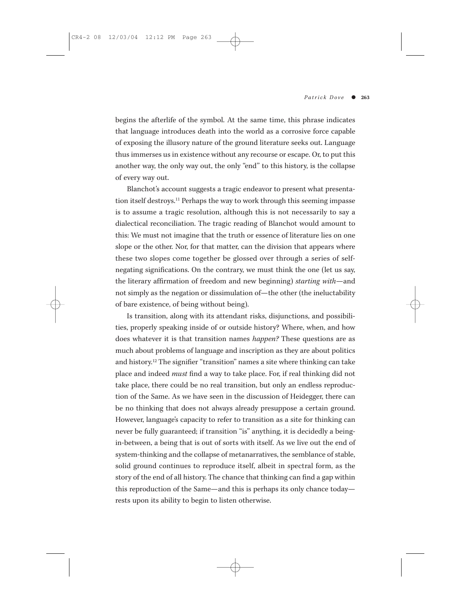begins the afterlife of the symbol. At the same time, this phrase indicates that language introduces death into the world as a corrosive force capable of exposing the illusory nature of the ground literature seeks out. Language thus immerses us in existence without any recourse or escape. Or, to put this another way, the only way out, the only "end" to this history, is the collapse of every way out.

Blanchot's account suggests a tragic endeavor to present what presentation itself destroys.11 Perhaps the way to work through this seeming impasse is to assume a tragic resolution, although this is not necessarily to say a dialectical reconciliation. The tragic reading of Blanchot would amount to this: We must not imagine that the truth or essence of literature lies on one slope or the other. Nor, for that matter, can the division that appears where these two slopes come together be glossed over through a series of selfnegating significations. On the contrary, we must think the one (let us say, the literary affirmation of freedom and new beginning) *starting with*—and not simply as the negation or dissimulation of—the other (the ineluctability of bare existence, of being without being).

Is transition, along with its attendant risks, disjunctions, and possibilities, properly speaking inside of or outside history? Where, when, and how does whatever it is that transition names *happen?* These questions are as much about problems of language and inscription as they are about politics and history.12 The signifier "transition" names a site where thinking can take place and indeed *must* find a way to take place. For, if real thinking did not take place, there could be no real transition, but only an endless reproduction of the Same. As we have seen in the discussion of Heidegger, there can be no thinking that does not always already presuppose a certain ground. However, language's capacity to refer to transition as a site for thinking can never be fully guaranteed; if transition "is" anything, it is decidedly a beingin-between, a being that is out of sorts with itself. As we live out the end of system-thinking and the collapse of metanarratives, the semblance of stable, solid ground continues to reproduce itself, albeit in spectral form, as the story of the end of all history. The chance that thinking can find a gap within this reproduction of the Same—and this is perhaps its only chance today rests upon its ability to begin to listen otherwise.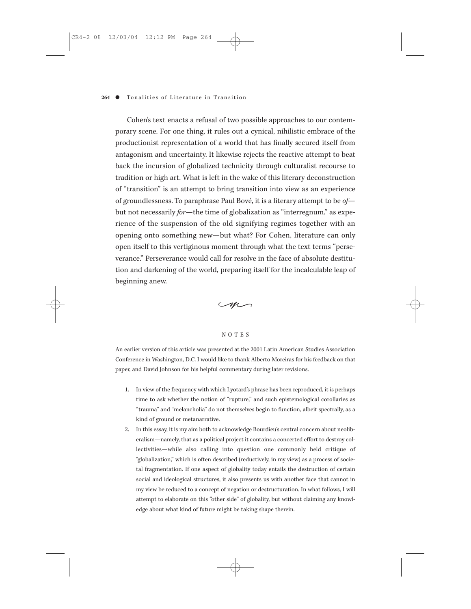Cohen's text enacts a refusal of two possible approaches to our contemporary scene. For one thing, it rules out a cynical, nihilistic embrace of the productionist representation of a world that has finally secured itself from antagonism and uncertainty. It likewise rejects the reactive attempt to beat back the incursion of globalized technicity through culturalist recourse to tradition or high art. What is left in the wake of this literary deconstruction of "transition" is an attempt to bring transition into view as an experience of groundlessness. To paraphrase Paul Bové, it is a literary attempt to be *of* but not necessarily *for*—the time of globalization as "interregnum," as experience of the suspension of the old signifying regimes together with an opening onto something new—but what? For Cohen, literature can only open itself to this vertiginous moment through what the text terms "perseverance." Perseverance would call for resolve in the face of absolute destitution and darkening of the world, preparing itself for the incalculable leap of beginning anew.



#### NOTES

An earlier version of this article was presented at the 2001 Latin American Studies Association Conference in Washington, D.C. I would like to thank Alberto Moreiras for his feedback on that paper, and David Johnson for his helpful commentary during later revisions.

- 1. In view of the frequency with which Lyotard's phrase has been reproduced, it is perhaps time to ask whether the notion of "rupture," and such epistemological corollaries as "trauma" and "melancholia" do not themselves begin to function, albeit spectrally, as a kind of ground or metanarrative.
- 2. In this essay, it is my aim both to acknowledge Bourdieu's central concern about neoliberalism—namely, that as a political project it contains a concerted effort to destroy collectivities—while also calling into question one commonly held critique of "globalization," which is often described (reductively, in my view) as a process of societal fragmentation. If one aspect of globality today entails the destruction of certain social and ideological structures, it also presents us with another face that cannot in my view be reduced to a concept of negation or destructuration. In what follows, I will attempt to elaborate on this "other side" of globality, but without claiming any knowledge about what kind of future might be taking shape therein.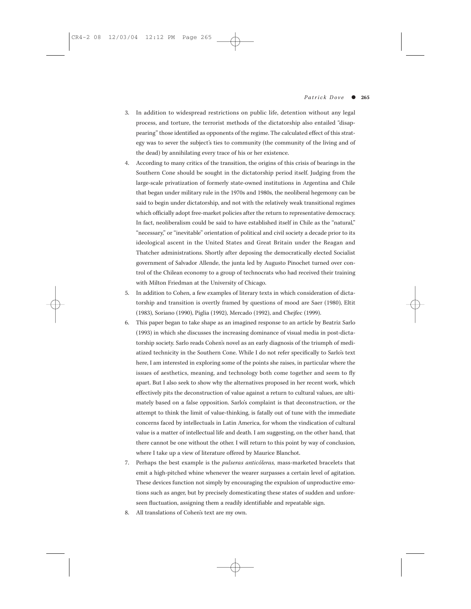- 3. In addition to widespread restrictions on public life, detention without any legal process, and torture, the terrorist methods of the dictatorship also entailed "disappearing" those identified as opponents of the regime. The calculated effect of this strategy was to sever the subject's ties to community (the community of the living and of the dead) by annihilating every trace of his or her existence.
- 4. According to many critics of the transition, the origins of this crisis of bearings in the Southern Cone should be sought in the dictatorship period itself. Judging from the large-scale privatization of formerly state-owned institutions in Argentina and Chile that began under military rule in the 1970s and 1980s, the neoliberal hegemony can be said to begin under dictatorship, and not with the relatively weak transitional regimes which officially adopt free-market policies after the return to representative democracy. In fact, neoliberalism could be said to have established itself in Chile as the "natural," "necessary," or "inevitable" orientation of political and civil society a decade prior to its ideological ascent in the United States and Great Britain under the Reagan and Thatcher administrations. Shortly after deposing the democratically elected Socialist government of Salvador Allende, the junta led by Augusto Pinochet turned over control of the Chilean economy to a group of technocrats who had received their training with Milton Friedman at the University of Chicago.
- 5. In addition to Cohen, a few examples of literary texts in which consideration of dictatorship and transition is overtly framed by questions of mood are Saer (1980), Eltit (1983), Soriano (1990), Piglia (1992), Mercado (1992), and Chejfec (1999).
- 6. This paper began to take shape as an imagined response to an article by Beatriz Sarlo (1993) in which she discusses the increasing dominance of visual media in post-dictatorship society. Sarlo reads Cohen's novel as an early diagnosis of the triumph of mediatized technicity in the Southern Cone. While I do not refer specifically to Sarlo's text here, I am interested in exploring some of the points she raises, in particular where the issues of aesthetics, meaning, and technology both come together and seem to fly apart. But I also seek to show why the alternatives proposed in her recent work, which effectively pits the deconstruction of value against a return to cultural values, are ultimately based on a false opposition. Sarlo's complaint is that deconstruction, or the attempt to think the limit of value-thinking, is fatally out of tune with the immediate concerns faced by intellectuals in Latin America, for whom the vindication of cultural value is a matter of intellectual life and death. I am suggesting, on the other hand, that there cannot be one without the other. I will return to this point by way of conclusion, where I take up a view of literature offered by Maurice Blanchot.
- 7. Perhaps the best example is the *pulseras anticóleras,* mass-marketed bracelets that emit a high-pitched whine whenever the wearer surpasses a certain level of agitation. These devices function not simply by encouraging the expulsion of unproductive emotions such as anger, but by precisely domesticating these states of sudden and unforeseen fluctuation, assigning them a readily identifiable and repeatable sign.
- 8. All translations of Cohen's text are my own.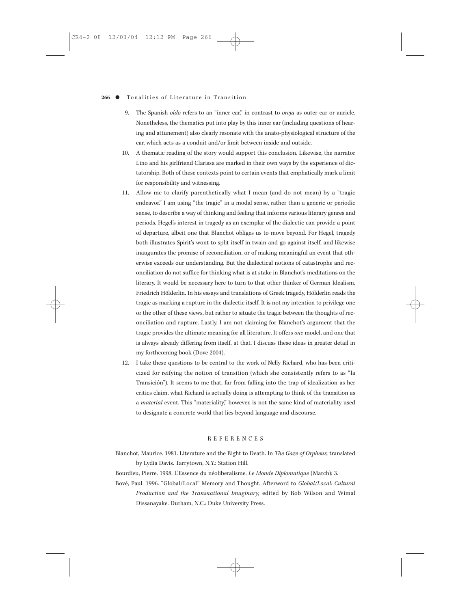- 9. The Spanish *oído* refers to an "inner ear," in contrast to *oreja* as outer ear or auricle. Nonetheless, the thematics put into play by this inner ear (including questions of hearing and attunement) also clearly resonate with the anato-physiological structure of the ear, which acts as a conduit and/or limit between inside and outside.
- 10. A thematic reading of the story would support this conclusion. Likewise, the narrator Lino and his girlfriend Clarissa are marked in their own ways by the experience of dictatorship. Both of these contexts point to certain events that emphatically mark a limit for responsibility and witnessing.
- 11. Allow me to clarify parenthetically what I mean (and do not mean) by a "tragic endeavor." I am using "the tragic" in a modal sense, rather than a generic or periodic sense, to describe a way of thinking and feeling that informs various literary genres and periods. Hegel's interest in tragedy as an exemplar of the dialectic can provide a point of departure, albeit one that Blanchot obliges us to move beyond. For Hegel, tragedy both illustrates Spirit's wont to split itself in twain and go against itself, and likewise inaugurates the promise of reconciliation, or of making meaningful an event that otherwise exceeds our understanding. But the dialectical notions of catastrophe and reconciliation do not suffice for thinking what is at stake in Blanchot's meditations on the literary. It would be necessary here to turn to that other thinker of German Idealism, Friedrich Hölderlin. In his essays and translations of Greek tragedy, Hölderlin reads the tragic as marking a rupture in the dialectic itself. It is not my intention to privilege one or the other of these views, but rather to situate the tragic between the thoughts of reconciliation and rupture. Lastly, I am not claiming for Blanchot's argument that the tragic provides the ultimate meaning for all literature. It offers *one* model, and one that is always already differing from itself, at that. I discuss these ideas in greater detail in my forthcoming book (Dove 2004).
- 12. I take these questions to be central to the work of Nelly Richard, who has been criticized for reifying the notion of transition (which she consistently refers to as "la Transición"). It seems to me that, far from falling into the trap of idealization as her critics claim, what Richard is actually doing is attempting to think of the transition as a *material* event. This "materiality," however, is not the same kind of materiality used to designate a concrete world that lies beyond language and discourse.

#### REFERENCES

Blanchot, Maurice. 1981. Literature and the Right to Death. In *The Gaze of Orpheus,* translated by Lydia Davis. Tarrytown, N.Y.: Station Hill.

Bourdieu, Pierre. 1998. L'Essence du néoliberalisme. *Le Monde Diplomatique* (March): 3.

Bové, Paul. 1996. "Global/Local" Memory and Thought. Afterword to *Global/Local: Cultural Production and the Transnational Imaginary,* edited by Rob Wilson and Wimal Dissanayake. Durham, N.C.: Duke University Press.